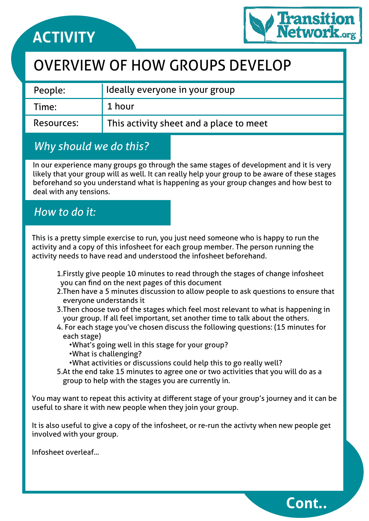

### OVERVIEW OF HOW GROUPS DEVELOP

| People:    | I Ideally everyone in your group        |
|------------|-----------------------------------------|
| Time:      | 1 hour                                  |
| Resources: | This activity sheet and a place to meet |

### *Why should we do this?*

In our experience many groups go through the same stages of development and it is very likely that your group will as well. It can really help your group to be aware of these stages beforehand so you understand what is happening as your group changes and how best to deal with any tensions.

### *How to do it:*

This is a pretty simple exercise to run, you just need someone who is happy to run the activity and a copy of this infosheet for each group member. The person running the activity needs to have read and understood the infosheet beforehand.

- 1.Firstly give people 10 minutes to read through the stages of change infosheet you can find on the next pages of this document
- 2.Then have a 5 minutes discussion to allow people to ask questions to ensure that everyone understands it
- 3.Then choose two of the stages which feel most relevant to what is happening in your group. If all feel important, set another time to talk about the others.
- 4. For each stage you've chosen discuss the following questions: (15 minutes for each stage)
	- •What's going well in this stage for your group?
	- •What is challenging?
	- •What activities or discussions could help this to go really well?
- 5.At the end take 15 minutes to agree one or two activities that you will do as a group to help with the stages you are currently in.

You may want to repeat this activity at different stage of your group's journey and it can be useful to share it with new people when they join your group.

It is also useful to give a copy of the infosheet, or re-run the activty when new people get involved with your group.

Infosheet overleaf...

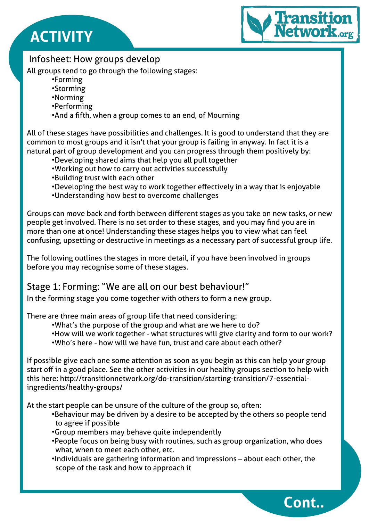

### Infosheet: How groups develop

All groups tend to go through the following stages:

- •Forming
- •Storming
- •Norming
- •Performing
- •And a fifth, when a group comes to an end, of Mourning

All of these stages have possibilities and challenges. It is good to understand that they are common to most groups and it isn't that your group is failing in anyway. In fact it is a natural part of group development and you can progress through them positively by:

- •Developing shared aims that help you all pull together
- •Working out how to carry out activities successfully
- •Building trust with each other
- •Developing the best way to work together effectively in a way that is enjoyable
- •Understanding how best to overcome challenges

Groups can move back and forth between different stages as you take on new tasks, or new people get involved. There is no set order to these stages, and you may find you are in more than one at once! Understanding these stages helps you to view what can feel confusing, upsetting or destructive in meetings as a necessary part of successful group life.

The following outlines the stages in more detail, if you have been involved in groups before you may recognise some of these stages.

### Stage 1: Forming: "We are all on our best behaviour!"

In the forming stage you come together with others to form a new group.

There are three main areas of group life that need considering:

- •What's the purpose of the group and what are we here to do?
- •How will we work together what structures will give clarity and form to our work?
- •Who's here how will we have fun, trust and care about each other?

If possible give each one some attention as soon as you begin as this can help your group start off in a good place. See the other activities in our healthy groups section to help with this here: http://transitionnetwork.org/do-transition/starting-transition/7-essentialingredients/healthy-groups/

At the start people can be unsure of the culture of the group so, often:

- •Behaviour may be driven by a desire to be accepted by the others so people tend to agree if possible
- •Group members may behave quite independently
- •People focus on being busy with routines, such as group organization, who does what, when to meet each other, etc.
- •Individuals are gathering information and impressions about each other, the scope of the task and how to approach it

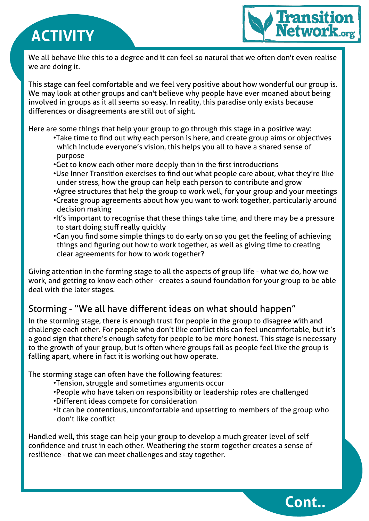

We all behave like this to a degree and it can feel so natural that we often don't even realise we are doing it.

This stage can feel comfortable and we feel very positive about how wonderful our group is. We may look at other groups and can't believe why people have ever moaned about being involved in groups as it all seems so easy. In reality, this paradise only exists because differences or disagreements are still out of sight.

Here are some things that help your group to go through this stage in a positive way:

- •Take time to find out why each person is here, and create group aims or objectives which include everyone's vision, this helps you all to have a shared sense of purpose
- •Get to know each other more deeply than in the first introductions
- •Use Inner Transition exercises to find out what people care about, what they're like under stress, how the group can help each person to contribute and grow
- •Agree structures that help the group to work well, for your group and your meetings
- •Create group agreements about how you want to work together, particularly around decision making
- •It's important to recognise that these things take time, and there may be a pressure to start doing stuff really quickly
- •Can you find some simple things to do early on so you get the feeling of achieving things and figuring out how to work together, as well as giving time to creating clear agreements for how to work together?

Giving attention in the forming stage to all the aspects of group life - what we do, how we work, and getting to know each other - creates a sound foundation for your group to be able deal with the later stages.

### Storming - "We all have different ideas on what should happen"

In the storming stage, there is enough trust for people in the group to disagree with and challenge each other. For people who don't like conflict this can feel uncomfortable, but it's a good sign that there's enough safety for people to be more honest. This stage is necessary to the growth of your group, but is often where groups fail as people feel like the group is falling apart, where in fact it is working out how operate.

The storming stage can often have the following features:

- •Tension, struggle and sometimes arguments occur
- •People who have taken on responsibility or leadership roles are challenged
- •Different ideas compete for consideration
- •It can be contentious, uncomfortable and upsetting to members of the group who don't like conflict

Handled well, this stage can help your group to develop a much greater level of self confidence and trust in each other. Weathering the storm together creates a sense of resilience - that we can meet challenges and stay together.

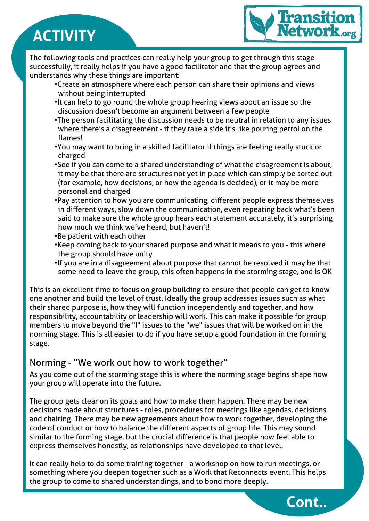

The following tools and practices can really help your group to get through this stage successfully, it really helps if you have a good facilitator and that the group agrees and understands why these things are important:

- •Create an atmosphere where each person can share their opinions and views without being interrupted
- •It can help to go round the whole group hearing views about an issue so the discussion doesn't become an argument between a few people
- •The person facilitating the discussion needs to be neutral in relation to any issues where there's a disagreement - if they take a side it's like pouring petrol on the flames!
- •You may want to bring in a skilled facilitator if things are feeling really stuck or charged
- •See if you can come to a shared understanding of what the disagreement is about, it may be that there are structures not yet in place which can simply be sorted out (for example, how decisions, or how the agenda is decided), or it may be more personal and charged
- •Pay attention to how you are communicating, different people express themselves in different ways, slow down the communication, even repeating back what's been said to make sure the whole group hears each statement accurately, it's surprising how much we think we've heard, but haven't!
- •Be patient with each other
- •Keep coming back to your shared purpose and what it means to you this where the group should have unity
- •If you are in a disagreement about purpose that cannot be resolved it may be that some need to leave the group, this often happens in the storming stage, and is OK

This is an excellent time to focus on group building to ensure that people can get to know one another and build the level of trust. Ideally the group addresses issues such as what their shared purpose is, how they will function independently and together, and how responsibility, accountability or leadership will work. This can make it possible for group members to move beyond the "I" issues to the "we" issues that will be worked on in the norming stage. This is all easier to do if you have setup a good foundation in the forming stage.

### Norming - "We work out how to work together"

As you come out of the storming stage this is where the norming stage begins shape how your group will operate into the future.

The group gets clear on its goals and how to make them happen. There may be new decisions made about structures - roles, procedures for meetings like agendas, decisions and chairing. There may be new agreements about how to work together, developing the code of conduct or how to balance the different aspects of group life. This may sound similar to the forming stage, but the crucial difference is that people now feel able to express themselves honestly, as relationships have developed to that level.

It can really help to do some training together - a workshop on how to run meetings, or something where you deepen together such as a Work that Reconnects event. This helps the group to come to shared understandings, and to bond more deeply.

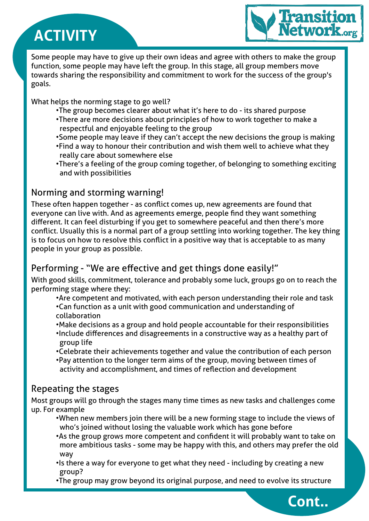

**Cont..**

Some people may have to give up their own ideas and agree with others to make the group function, some people may have left the group. In this stage, all group members move towards sharing the responsibility and commitment to work for the success of the group's goals.

What helps the norming stage to go well?

- •The group becomes clearer about what it's here to do its shared purpose
- •There are more decisions about principles of how to work together to make a respectful and enjoyable feeling to the group
- •Some people may leave if they can't accept the new decisions the group is making
- •Find a way to honour their contribution and wish them well to achieve what they really care about somewhere else
- •There's a feeling of the group coming together, of belonging to something exciting and with possibilities

### Norming and storming warning!

These often happen together - as conflict comes up, new agreements are found that everyone can live with. And as agreements emerge, people find they want something different. It can feel disturbing if you get to somewhere peaceful and then there's more conflict. Usually this is a normal part of a group settling into working together. The key thing is to focus on how to resolve this conflict in a positive way that is acceptable to as many people in your group as possible.

### Performing - "We are effective and get things done easily!"

With good skills, commitment, tolerance and probably some luck, groups go on to reach the performing stage where they:

- •Are competent and motivated, with each person understanding their role and task •Can function as a unit with good communication and understanding of collaboration
- •Make decisions as a group and hold people accountable for their responsibilities
- •Include differences and disagreements in a constructive way as a healthy part of group life
- •Celebrate their achievements together and value the contribution of each person
- •Pay attention to the longer term aims of the group, moving between times of activity and accomplishment, and times of reflection and development

### Repeating the stages

Most groups will go through the stages many time times as new tasks and challenges come up. For example

- •When new members join there will be a new forming stage to include the views of who's joined without losing the valuable work which has gone before
- •As the group grows more competent and confident it will probably want to take on more ambitious tasks - some may be happy with this, and others may prefer the old way
- •Is there a way for everyone to get what they need including by creating a new group?
- •The group may grow beyond its original purpose, and need to evolve its structure